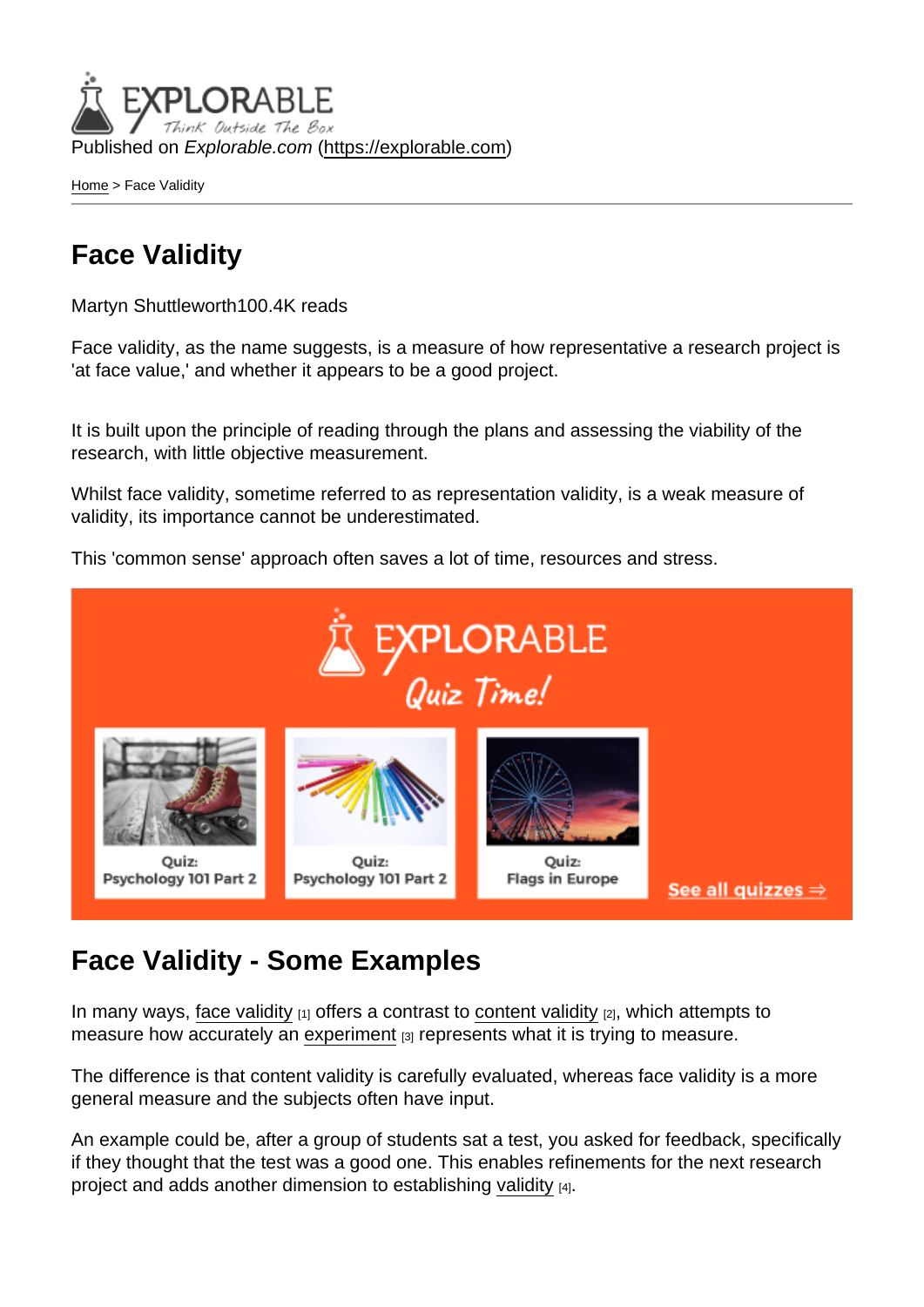Published on Explorable.com (<https://explorable.com>)

[Home](https://explorable.com/) > Face Validity

# Face Validity

Martyn Shuttleworth100.4K reads

Face validity, as the name suggests, is a measure of how representative a research project is 'at face value,' and whether it appears to be a good project.

It is built upon the principle of reading through the plans and assessing the viability of the research, with little objective measurement.

Whilst face validity, sometime referred to as representation validity, is a weak measure of validity, its importance cannot be underestimated.

This 'common sense' approach often saves a lot of time, resources and stress.

## Face Validity - Some Examples

In many ways, [face validity](http://en.wikipedia.org/wiki/Face_validity)  $_{[1]}$  offers a contrast to [content validity](https://explorable.com/content-validity)  $_{[2]}$ , which attempts to measure how accurately an [experiment](https://explorable.com/experimental-research)  $[3]$  represents what it is trying to measure.

The difference is that content validity is carefully evaluated, whereas face validity is a more general measure and the subjects often have input.

An example could be, after a group of students sat a test, you asked for feedback, specifically if they thought that the test was a good one. This enables refinements for the next research project and adds another dimension to establishing [validity](https://explorable.com/types-of-validity) [4].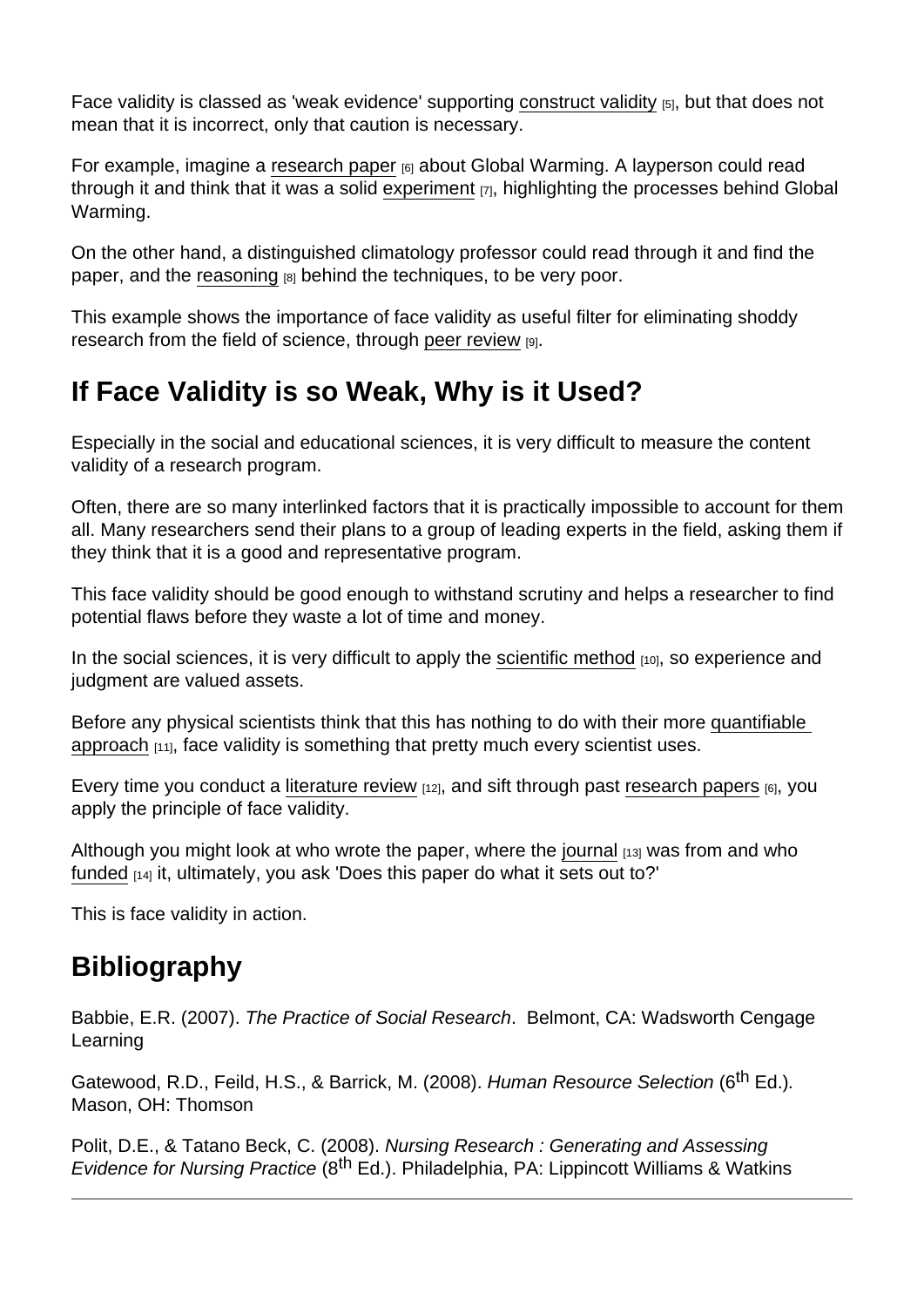Face validity is classed as 'weak evidence' supporting [construct validity](https://explorable.com/construct-validity) [5], but that does not mean that it is incorrect, only that caution is necessary.

For example, imagine a [research paper](https://explorable.com/writing-a-research-paper) [6] about Global Warming. A layperson could read through it and think that it was a solid [experiment](https://explorable.com/conducting-an-experiment) [7], highlighting the processes behind Global Warming.

On the other hand, a distinguished climatology professor could read through it and find the paper, and the [reasoning](https://explorable.com/scientific-reasoning) [8] behind the techniques, to be very poor.

This example shows the importance of face validity as useful filter for eliminating shoddy research from the field of science, through [peer review](https://explorable.com/peer-review-process) [9].

# If Face Validity is so Weak, Why is it Used?

Especially in the social and educational sciences, it is very difficult to measure the content validity of a research program.

Often, there are so many interlinked factors that it is practically impossible to account for them all. Many researchers send their plans to a group of leading experts in the field, asking them if they think that it is a good and representative program.

This face validity should be good enough to withstand scrutiny and helps a researcher to find potential flaws before they waste a lot of time and money.

In the social sciences, it is very difficult to apply the [scientific method](https://explorable.com/what-is-the-scientific-method) [10], so experience and judgment are valued assets.

Before any physical scientists think that this has nothing to do with their more [quantifiable](https://explorable.com/quantitative-research-design)  [approach](https://explorable.com/quantitative-research-design) [11], face validity is something that pretty much every scientist uses.

Every time you conduct a [literature review](https://explorable.com/what-is-a-literature-review)  $[12]$ , and sift through past [research papers](https://explorable.com/writing-a-research-paper)  $[6]$ , you apply the principle of face validity.

Although you might look at who wrote the paper, where the [journal](https://explorable.com/academic-journals)  $[13]$  was from and who [funded](https://explorable.com/research-grant-funding) [14] it, ultimately, you ask 'Does this paper do what it sets out to?'

This is face validity in action.

## **Bibliography**

Babbie, E.R. (2007). The Practice of Social Research. Belmont, CA: Wadsworth Cengage Learning

Gatewood, R.D., Feild, H.S., & Barrick, M. (2008). Human Resource Selection (6<sup>th</sup> Ed.). Mason, OH: Thomson

Polit, D.E., & Tatano Beck, C. (2008). Nursing Research : Generating and Assessing Evidence for Nursing Practice (8<sup>th</sup> Ed.). Philadelphia, PA: Lippincott Williams & Watkins